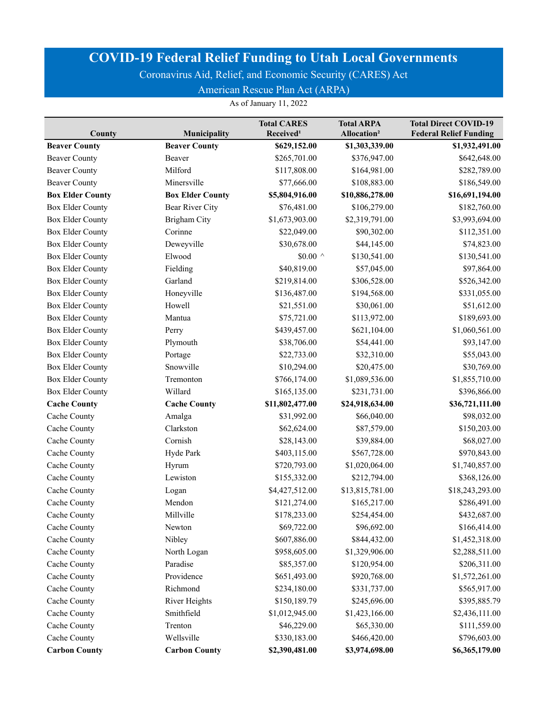Coronavirus Aid, Relief, and Economic Security (CARES) Act

American Rescue Plan Act (ARPA)

| County                  | Municipality            | <b>Total CARES</b><br>Received <sup>1</sup> | <b>Total ARPA</b><br>Allocation <sup>2</sup> | <b>Total Direct COVID-19</b><br><b>Federal Relief Funding</b> |
|-------------------------|-------------------------|---------------------------------------------|----------------------------------------------|---------------------------------------------------------------|
| <b>Beaver County</b>    | <b>Beaver County</b>    | \$629,152.00                                | \$1,303,339.00                               | \$1,932,491.00                                                |
| <b>Beaver County</b>    | Beaver                  | \$265,701.00                                | \$376,947.00                                 | \$642,648.00                                                  |
| <b>Beaver County</b>    | Milford                 | \$117,808.00                                | \$164,981.00                                 | \$282,789.00                                                  |
| <b>Beaver County</b>    | Minersville             | \$77,666.00                                 | \$108,883.00                                 | \$186,549.00                                                  |
| <b>Box Elder County</b> | <b>Box Elder County</b> | \$5,804,916.00                              | \$10,886,278.00                              | \$16,691,194.00                                               |
| <b>Box Elder County</b> | Bear River City         | \$76,481.00                                 | \$106,279.00                                 | \$182,760.00                                                  |
| <b>Box Elder County</b> | <b>Brigham City</b>     | \$1,673,903.00                              | \$2,319,791.00                               | \$3,993,694.00                                                |
| <b>Box Elder County</b> | Corinne                 | \$22,049.00                                 | \$90,302.00                                  | \$112,351.00                                                  |
| <b>Box Elder County</b> | Deweyville              | \$30,678.00                                 | \$44,145.00                                  | \$74,823.00                                                   |
| <b>Box Elder County</b> | Elwood                  | \$0.00 $^{\wedge}$                          | \$130,541.00                                 | \$130,541.00                                                  |
| <b>Box Elder County</b> | Fielding                | \$40,819.00                                 | \$57,045.00                                  | \$97,864.00                                                   |
| <b>Box Elder County</b> | Garland                 | \$219,814.00                                | \$306,528.00                                 | \$526,342.00                                                  |
| <b>Box Elder County</b> | Honeyville              | \$136,487.00                                | \$194,568.00                                 | \$331,055.00                                                  |
| <b>Box Elder County</b> | Howell                  | \$21,551.00                                 | \$30,061.00                                  | \$51,612.00                                                   |
| <b>Box Elder County</b> | Mantua                  | \$75,721.00                                 | \$113,972.00                                 | \$189,693.00                                                  |
| <b>Box Elder County</b> | Perry                   | \$439,457.00                                | \$621,104.00                                 | \$1,060,561.00                                                |
| <b>Box Elder County</b> | Plymouth                | \$38,706.00                                 | \$54,441.00                                  | \$93,147.00                                                   |
| <b>Box Elder County</b> | Portage                 | \$22,733.00                                 | \$32,310.00                                  | \$55,043.00                                                   |
| <b>Box Elder County</b> | Snowville               | \$10,294.00                                 | \$20,475.00                                  | \$30,769.00                                                   |
| <b>Box Elder County</b> | Tremonton               | \$766,174.00                                | \$1,089,536.00                               | \$1,855,710.00                                                |
| <b>Box Elder County</b> | Willard                 | \$165,135.00                                | \$231,731.00                                 | \$396,866.00                                                  |
| <b>Cache County</b>     | <b>Cache County</b>     | \$11,802,477.00                             | \$24,918,634.00                              | \$36,721,111.00                                               |
| Cache County            | Amalga                  | \$31,992.00                                 | \$66,040.00                                  | \$98,032.00                                                   |
| Cache County            | Clarkston               | \$62,624.00                                 | \$87,579.00                                  | \$150,203.00                                                  |
| Cache County            | Cornish                 | \$28,143.00                                 | \$39,884.00                                  | \$68,027.00                                                   |
| Cache County            | Hyde Park               | \$403,115.00                                | \$567,728.00                                 | \$970,843.00                                                  |
| Cache County            | Hyrum                   | \$720,793.00                                | \$1,020,064.00                               | \$1,740,857.00                                                |
| Cache County            | Lewiston                | \$155,332.00                                | \$212,794.00                                 | \$368,126.00                                                  |
| Cache County            | Logan                   | \$4,427,512.00                              | \$13,815,781.00                              | \$18,243,293.00                                               |
| Cache County            | Mendon                  | \$121,274.00                                | \$165,217.00                                 | \$286,491.00                                                  |
| Cache County            | Millville               | \$178,233.00                                | \$254,454.00                                 | \$432,687.00                                                  |
| Cache County            | Newton                  | \$69,722.00                                 | \$96,692.00                                  | \$166,414.00                                                  |
| Cache County            | Nibley                  | \$607,886.00                                | \$844,432.00                                 | \$1,452,318.00                                                |
| Cache County            | North Logan             | \$958,605.00                                | \$1,329,906.00                               | \$2,288,511.00                                                |
| Cache County            | Paradise                | \$85,357.00                                 | \$120,954.00                                 | \$206,311.00                                                  |
| Cache County            | Providence              | \$651,493.00                                | \$920,768.00                                 | \$1,572,261.00                                                |
| Cache County            | Richmond                | \$234,180.00                                | \$331,737.00                                 | \$565,917.00                                                  |
| Cache County            | River Heights           | \$150,189.79                                | \$245,696.00                                 | \$395,885.79                                                  |
| Cache County            | Smithfield              | \$1,012,945.00                              | \$1,423,166.00                               | \$2,436,111.00                                                |
| Cache County            | Trenton                 | \$46,229.00                                 | \$65,330.00                                  | \$111,559.00                                                  |
| Cache County            | Wellsville              | \$330,183.00                                | \$466,420.00                                 | \$796,603.00                                                  |
| <b>Carbon County</b>    | <b>Carbon County</b>    | \$2,390,481.00                              | \$3,974,698.00                               | \$6,365,179.00                                                |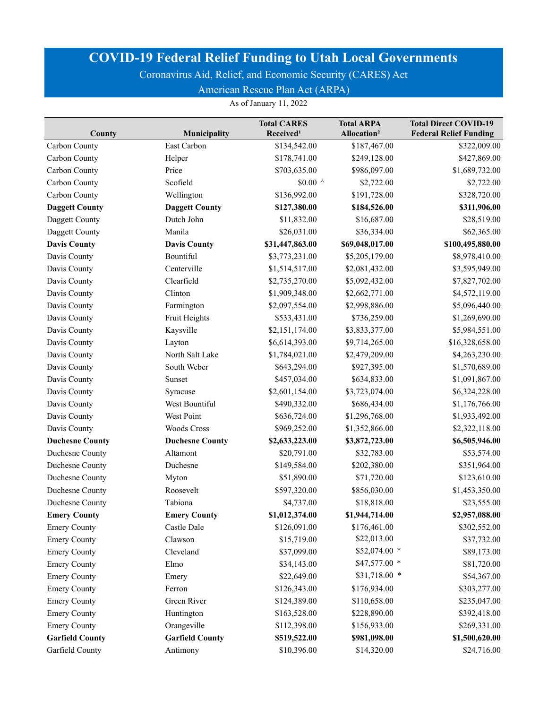Coronavirus Aid, Relief, and Economic Security (CARES) Act

American Rescue Plan Act (ARPA)

| County                 | Municipality           | <b>Total CARES</b><br>Received <sup>1</sup> | <b>Total ARPA</b><br>Allocation <sup>2</sup> | <b>Total Direct COVID-19</b><br><b>Federal Relief Funding</b> |
|------------------------|------------------------|---------------------------------------------|----------------------------------------------|---------------------------------------------------------------|
| Carbon County          | East Carbon            | \$134,542.00                                | \$187,467.00                                 | \$322,009.00                                                  |
| Carbon County          | Helper                 | \$178,741.00                                | \$249,128.00                                 | \$427,869.00                                                  |
| Carbon County          | Price                  | \$703,635.00                                | \$986,097.00                                 | \$1,689,732.00                                                |
| Carbon County          | Scofield               | \$0.00 $\,$ ^                               | \$2,722.00                                   | \$2,722.00                                                    |
| Carbon County          | Wellington             | \$136,992.00                                | \$191,728.00                                 | \$328,720.00                                                  |
| <b>Daggett County</b>  | <b>Daggett County</b>  | \$127,380.00                                | \$184,526.00                                 | \$311,906.00                                                  |
| Daggett County         | Dutch John             | \$11,832.00                                 | \$16,687.00                                  | \$28,519.00                                                   |
| Daggett County         | Manila                 | \$26,031.00                                 | \$36,334.00                                  | \$62,365.00                                                   |
| <b>Davis County</b>    | <b>Davis County</b>    | \$31,447,863.00                             | \$69,048,017.00                              | \$100,495,880.00                                              |
| Davis County           | Bountiful              | \$3,773,231.00                              | \$5,205,179.00                               | \$8,978,410.00                                                |
| Davis County           | Centerville            | \$1,514,517.00                              | \$2,081,432.00                               | \$3,595,949.00                                                |
| Davis County           | Clearfield             | \$2,735,270.00                              | \$5,092,432.00                               | \$7,827,702.00                                                |
| Davis County           | Clinton                | \$1,909,348.00                              | \$2,662,771.00                               | \$4,572,119.00                                                |
| Davis County           | Farmington             | \$2,097,554.00                              | \$2,998,886.00                               | \$5,096,440.00                                                |
| Davis County           | Fruit Heights          | \$533,431.00                                | \$736,259.00                                 | \$1,269,690.00                                                |
| Davis County           | Kaysville              | \$2,151,174.00                              | \$3,833,377.00                               | \$5,984,551.00                                                |
| Davis County           | Layton                 | \$6,614,393.00                              | \$9,714,265.00                               | \$16,328,658.00                                               |
| Davis County           | North Salt Lake        | \$1,784,021.00                              | \$2,479,209.00                               | \$4,263,230.00                                                |
| Davis County           | South Weber            | \$643,294.00                                | \$927,395.00                                 | \$1,570,689.00                                                |
| Davis County           | Sunset                 | \$457,034.00                                | \$634,833.00                                 | \$1,091,867.00                                                |
| Davis County           | Syracuse               | \$2,601,154.00                              | \$3,723,074.00                               | \$6,324,228.00                                                |
| Davis County           | West Bountiful         | \$490,332.00                                | \$686,434.00                                 | \$1,176,766.00                                                |
| Davis County           | West Point             | \$636,724.00                                | \$1,296,768.00                               | \$1,933,492.00                                                |
| Davis County           | <b>Woods Cross</b>     | \$969,252.00                                | \$1,352,866.00                               | \$2,322,118.00                                                |
| <b>Duchesne County</b> | <b>Duchesne County</b> | \$2,633,223.00                              | \$3,872,723.00                               | \$6,505,946.00                                                |
| Duchesne County        | Altamont               | \$20,791.00                                 | \$32,783.00                                  | \$53,574.00                                                   |
| Duchesne County        | Duchesne               | \$149,584.00                                | \$202,380.00                                 | \$351,964.00                                                  |
| Duchesne County        | Myton                  | \$51,890.00                                 | \$71,720.00                                  | \$123,610.00                                                  |
| Duchesne County        | Roosevelt              | \$597,320.00                                | \$856,030.00                                 | \$1,453,350.00                                                |
| Duchesne County        | Tabiona                | \$4,737.00                                  | \$18,818.00                                  | \$23,555.00                                                   |
| <b>Emery County</b>    | <b>Emery County</b>    | \$1,012,374.00                              | \$1,944,714.00                               | \$2,957,088.00                                                |
| <b>Emery County</b>    | Castle Dale            | \$126,091.00                                | \$176,461.00                                 | \$302,552.00                                                  |
| <b>Emery County</b>    | Clawson                | \$15,719.00                                 | \$22,013.00                                  | \$37,732.00                                                   |
| <b>Emery County</b>    | Cleveland              | \$37,099.00                                 | \$52,074.00 *                                | \$89,173.00                                                   |
| <b>Emery County</b>    | Elmo                   | \$34,143.00                                 | \$47,577.00 *                                | \$81,720.00                                                   |
| <b>Emery County</b>    | Emery                  | \$22,649.00                                 | \$31,718.00 *                                | \$54,367.00                                                   |
| <b>Emery County</b>    | Ferron                 | \$126,343.00                                | \$176,934.00                                 | \$303,277.00                                                  |
| <b>Emery County</b>    | Green River            | \$124,389.00                                | \$110,658.00                                 | \$235,047.00                                                  |
| <b>Emery County</b>    | Huntington             | \$163,528.00                                | \$228,890.00                                 | \$392,418.00                                                  |
| <b>Emery County</b>    | Orangeville            | \$112,398.00                                | \$156,933.00                                 | \$269,331.00                                                  |
| <b>Garfield County</b> | <b>Garfield County</b> | \$519,522.00                                | \$981,098.00                                 | \$1,500,620.00                                                |
| Garfield County        | Antimony               | \$10,396.00                                 | \$14,320.00                                  | \$24,716.00                                                   |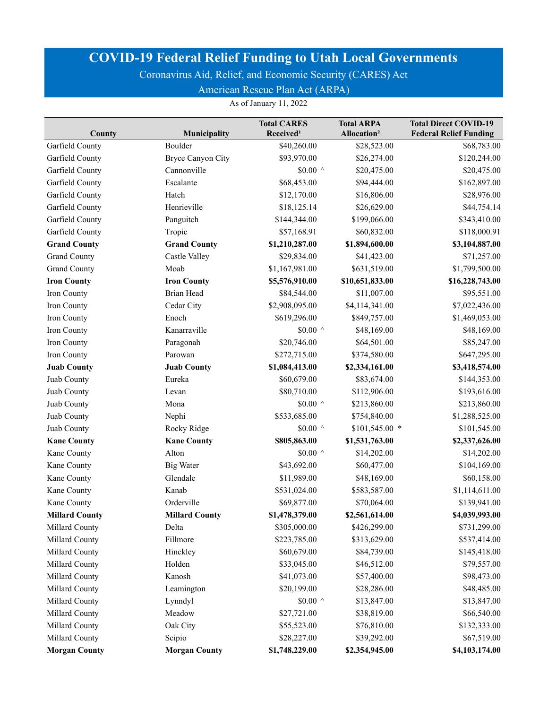Coronavirus Aid, Relief, and Economic Security (CARES) Act

American Rescue Plan Act (ARPA)

|                       |                          | <b>Total CARES</b>    | <b>Total ARPA</b>       | <b>Total Direct COVID-19</b>  |
|-----------------------|--------------------------|-----------------------|-------------------------|-------------------------------|
| County                | Municipality             | Received <sup>1</sup> | Allocation <sup>2</sup> | <b>Federal Relief Funding</b> |
| Garfield County       | Boulder                  | \$40,260.00           | \$28,523.00             | \$68,783.00                   |
| Garfield County       | <b>Bryce Canyon City</b> | \$93,970.00           | \$26,274.00             | \$120,244.00                  |
| Garfield County       | Cannonville              | \$0.00 $\,$ ^         | \$20,475.00             | \$20,475.00                   |
| Garfield County       | Escalante                | \$68,453.00           | \$94,444.00             | \$162,897.00                  |
| Garfield County       | Hatch                    | \$12,170.00           | \$16,806.00             | \$28,976.00                   |
| Garfield County       | Henrieville              | \$18,125.14           | \$26,629.00             | \$44,754.14                   |
| Garfield County       | Panguitch                | \$144,344.00          | \$199,066.00            | \$343,410.00                  |
| Garfield County       | Tropic                   | \$57,168.91           | \$60,832.00             | \$118,000.91                  |
| <b>Grand County</b>   | <b>Grand County</b>      | \$1,210,287.00        | \$1,894,600.00          | \$3,104,887.00                |
| <b>Grand County</b>   | Castle Valley            | \$29,834.00           | \$41,423.00             | \$71,257.00                   |
| <b>Grand County</b>   | Moab                     | \$1,167,981.00        | \$631,519.00            | \$1,799,500.00                |
| <b>Iron County</b>    | <b>Iron County</b>       | \$5,576,910.00        | \$10,651,833.00         | \$16,228,743.00               |
| Iron County           | <b>Brian Head</b>        | \$84,544.00           | \$11,007.00             | \$95,551.00                   |
| Iron County           | Cedar City               | \$2,908,095.00        | \$4,114,341.00          | \$7,022,436.00                |
| Iron County           | Enoch                    | \$619,296.00          | \$849,757.00            | \$1,469,053.00                |
| Iron County           | Kanarraville             | \$0.00 $\land$        | \$48,169.00             | \$48,169.00                   |
| Iron County           | Paragonah                | \$20,746.00           | \$64,501.00             | \$85,247.00                   |
| Iron County           | Parowan                  | \$272,715.00          | \$374,580.00            | \$647,295.00                  |
| <b>Juab County</b>    | <b>Juab County</b>       | \$1,084,413.00        | \$2,334,161.00          | \$3,418,574.00                |
| Juab County           | Eureka                   | \$60,679.00           | \$83,674.00             | \$144,353.00                  |
| Juab County           | Levan                    | \$80,710.00           | \$112,906.00            | \$193,616.00                  |
| Juab County           | Mona                     | \$0.00 $\,$ ^         | \$213,860.00            | \$213,860.00                  |
| Juab County           | Nephi                    | \$533,685.00          | \$754,840.00            | \$1,288,525.00                |
| Juab County           | Rocky Ridge              | \$0.00 $^{\wedge}$    | $$101,545.00$ *         | \$101,545.00                  |
| <b>Kane County</b>    | <b>Kane County</b>       | \$805,863.00          | \$1,531,763.00          | \$2,337,626.00                |
| Kane County           | Alton                    | \$0.00 $\,$ ^         | \$14,202.00             | \$14,202.00                   |
| Kane County           | <b>Big Water</b>         | \$43,692.00           | \$60,477.00             | \$104,169.00                  |
| Kane County           | Glendale                 | \$11,989.00           | \$48,169.00             | \$60,158.00                   |
| Kane County           | Kanab                    | \$531,024.00          | \$583,587.00            | \$1,114,611.00                |
| Kane County           | Orderville               | \$69,877.00           | \$70,064.00             | \$139,941.00                  |
| <b>Millard County</b> | <b>Millard County</b>    | \$1,478,379.00        | \$2,561,614.00          | \$4,039,993.00                |
| Millard County        | Delta                    | \$305,000.00          | \$426,299.00            | \$731,299.00                  |
| Millard County        | Fillmore                 | \$223,785.00          | \$313,629.00            | \$537,414.00                  |
| Millard County        | Hinckley                 | \$60,679.00           | \$84,739.00             | \$145,418.00                  |
| Millard County        | Holden                   | \$33,045.00           | \$46,512.00             | \$79,557.00                   |
| Millard County        | Kanosh                   | \$41,073.00           | \$57,400.00             | \$98,473.00                   |
| Millard County        | Leamington               | \$20,199.00           | \$28,286.00             | \$48,485.00                   |
| Millard County        | Lynndyl                  | \$0.00 $^{\wedge}$    | \$13,847.00             | \$13,847.00                   |
| Millard County        | Meadow                   | \$27,721.00           | \$38,819.00             | \$66,540.00                   |
| Millard County        | Oak City                 | \$55,523.00           | \$76,810.00             | \$132,333.00                  |
| Millard County        | Scipio                   | \$28,227.00           | \$39,292.00             | \$67,519.00                   |
| <b>Morgan County</b>  | <b>Morgan County</b>     | \$1,748,229.00        | \$2,354,945.00          | \$4,103,174.00                |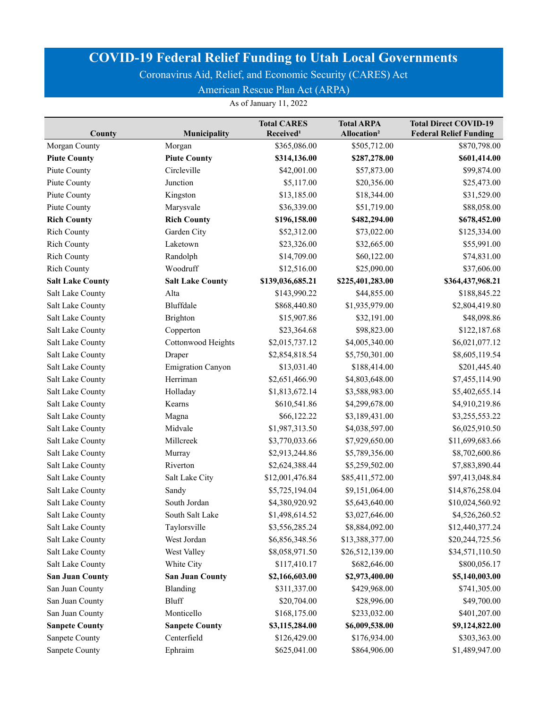Coronavirus Aid, Relief, and Economic Security (CARES) Act

American Rescue Plan Act (ARPA)

| County                  | Municipality             | <b>Total CARES</b><br>Received <sup>1</sup> | <b>Total ARPA</b><br>Allocation <sup>2</sup> | <b>Total Direct COVID-19</b><br><b>Federal Relief Funding</b> |
|-------------------------|--------------------------|---------------------------------------------|----------------------------------------------|---------------------------------------------------------------|
| Morgan County           | Morgan                   | \$365,086.00                                | \$505,712.00                                 | \$870,798.00                                                  |
| <b>Piute County</b>     | <b>Piute County</b>      | \$314,136.00                                | \$287,278.00                                 | \$601,414.00                                                  |
| Piute County            | Circleville              | \$42,001.00                                 | \$57,873.00                                  | \$99,874.00                                                   |
| Piute County            | Junction                 | \$5,117.00                                  | \$20,356.00                                  | \$25,473.00                                                   |
| Piute County            | Kingston                 | \$13,185.00                                 | \$18,344.00                                  | \$31,529.00                                                   |
| Piute County            | Marysvale                | \$36,339.00                                 | \$51,719.00                                  | \$88,058.00                                                   |
| <b>Rich County</b>      | <b>Rich County</b>       | \$196,158.00                                | \$482,294.00                                 | \$678,452.00                                                  |
| <b>Rich County</b>      | Garden City              | \$52,312.00                                 | \$73,022.00                                  | \$125,334.00                                                  |
| <b>Rich County</b>      | Laketown                 | \$23,326.00                                 | \$32,665.00                                  | \$55,991.00                                                   |
| <b>Rich County</b>      | Randolph                 | \$14,709.00                                 | \$60,122.00                                  | \$74,831.00                                                   |
| <b>Rich County</b>      | Woodruff                 | \$12,516.00                                 | \$25,090.00                                  | \$37,606.00                                                   |
| <b>Salt Lake County</b> | <b>Salt Lake County</b>  | \$139,036,685.21                            | \$225,401,283.00                             | \$364,437,968.21                                              |
| Salt Lake County        | Alta                     | \$143,990.22                                | \$44,855.00                                  | \$188,845.22                                                  |
| Salt Lake County        | Bluffdale                | \$868,440.80                                | \$1,935,979.00                               | \$2,804,419.80                                                |
| Salt Lake County        | Brighton                 | \$15,907.86                                 | \$32,191.00                                  | \$48,098.86                                                   |
| Salt Lake County        | Copperton                | \$23,364.68                                 | \$98,823.00                                  | \$122,187.68                                                  |
| Salt Lake County        | Cottonwood Heights       | \$2,015,737.12                              | \$4,005,340.00                               | \$6,021,077.12                                                |
| Salt Lake County        | Draper                   | \$2,854,818.54                              | \$5,750,301.00                               | \$8,605,119.54                                                |
| Salt Lake County        | <b>Emigration Canyon</b> | \$13,031.40                                 | \$188,414.00                                 | \$201,445.40                                                  |
| Salt Lake County        | Herriman                 | \$2,651,466.90                              | \$4,803,648.00                               | \$7,455,114.90                                                |
| Salt Lake County        | Holladay                 | \$1,813,672.14                              | \$3,588,983.00                               | \$5,402,655.14                                                |
| Salt Lake County        | Kearns                   | \$610,541.86                                | \$4,299,678.00                               | \$4,910,219.86                                                |
| Salt Lake County        | Magna                    | \$66,122.22                                 | \$3,189,431.00                               | \$3,255,553.22                                                |
| Salt Lake County        | Midvale                  | \$1,987,313.50                              | \$4,038,597.00                               | \$6,025,910.50                                                |
| Salt Lake County        | Millcreek                | \$3,770,033.66                              | \$7,929,650.00                               | \$11,699,683.66                                               |
| Salt Lake County        | Murray                   | \$2,913,244.86                              | \$5,789,356.00                               | \$8,702,600.86                                                |
| Salt Lake County        | Riverton                 | \$2,624,388.44                              | \$5,259,502.00                               | \$7,883,890.44                                                |
| Salt Lake County        | Salt Lake City           | \$12,001,476.84                             | \$85,411,572.00                              | \$97,413,048.84                                               |
| Salt Lake County        | Sandy                    | \$5,725,194.04                              | \$9,151,064.00                               | \$14,876,258.04                                               |
| Salt Lake County        | South Jordan             | \$4,380,920.92                              | \$5,643,640.00                               | \$10,024,560.92                                               |
| Salt Lake County        | South Salt Lake          | \$1,498,614.52                              | \$3,027,646.00                               | \$4,526,260.52                                                |
| Salt Lake County        | Taylorsville             | \$3,556,285.24                              | \$8,884,092.00                               | \$12,440,377.24                                               |
| Salt Lake County        | West Jordan              | \$6,856,348.56                              | \$13,388,377.00                              | \$20,244,725.56                                               |
| Salt Lake County        | West Valley              | \$8,058,971.50                              | \$26,512,139.00                              | \$34,571,110.50                                               |
| Salt Lake County        | White City               | \$117,410.17                                | \$682,646.00                                 | \$800,056.17                                                  |
| <b>San Juan County</b>  | <b>San Juan County</b>   | \$2,166,603.00                              | \$2,973,400.00                               | \$5,140,003.00                                                |
| San Juan County         | Blanding                 | \$311,337.00                                | \$429,968.00                                 | \$741,305.00                                                  |
| San Juan County         | Bluff                    | \$20,704.00                                 | \$28,996.00                                  | \$49,700.00                                                   |
| San Juan County         | Monticello               | \$168,175.00                                | \$233,032.00                                 | \$401,207.00                                                  |
| <b>Sanpete County</b>   | <b>Sanpete County</b>    | \$3,115,284.00                              | \$6,009,538.00                               | \$9,124,822.00                                                |
| Sanpete County          | Centerfield              | \$126,429.00                                | \$176,934.00                                 | \$303,363.00                                                  |
| Sanpete County          | Ephraim                  | \$625,041.00                                | \$864,906.00                                 | \$1,489,947.00                                                |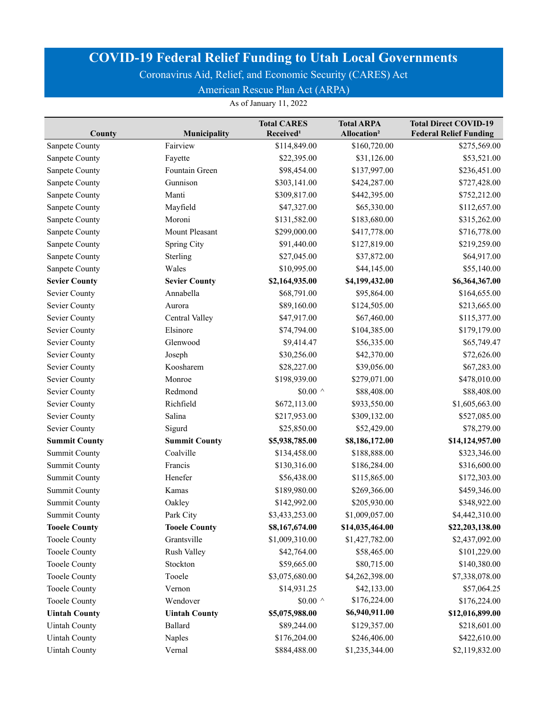Coronavirus Aid, Relief, and Economic Security (CARES) Act

American Rescue Plan Act (ARPA)

|                      |                      | <b>Total CARES</b>    | <b>Total ARPA</b>       | <b>Total Direct COVID-19</b>  |
|----------------------|----------------------|-----------------------|-------------------------|-------------------------------|
| County               | Municipality         | Received <sup>1</sup> | Allocation <sup>2</sup> | <b>Federal Relief Funding</b> |
| Sanpete County       | Fairview             | \$114,849.00          | \$160,720.00            | \$275,569.00                  |
| Sanpete County       | Fayette              | \$22,395.00           | \$31,126.00             | \$53,521.00                   |
| Sanpete County       | Fountain Green       | \$98,454.00           | \$137,997.00            | \$236,451.00                  |
| Sanpete County       | Gunnison             | \$303,141.00          | \$424,287.00            | \$727,428.00                  |
| Sanpete County       | Manti                | \$309,817.00          | \$442,395.00            | \$752,212.00                  |
| Sanpete County       | Mayfield             | \$47,327.00           | \$65,330.00             | \$112,657.00                  |
| Sanpete County       | Moroni               | \$131,582.00          | \$183,680.00            | \$315,262.00                  |
| Sanpete County       | Mount Pleasant       | \$299,000.00          | \$417,778.00            | \$716,778.00                  |
| Sanpete County       | <b>Spring City</b>   | \$91,440.00           | \$127,819.00            | \$219,259.00                  |
| Sanpete County       | Sterling             | \$27,045.00           | \$37,872.00             | \$64,917.00                   |
| Sanpete County       | Wales                | \$10,995.00           | \$44,145.00             | \$55,140.00                   |
| <b>Sevier County</b> | <b>Sevier County</b> | \$2,164,935.00        | \$4,199,432.00          | \$6,364,367.00                |
| Sevier County        | Annabella            | \$68,791.00           | \$95,864.00             | \$164,655.00                  |
| Sevier County        | Aurora               | \$89,160.00           | \$124,505.00            | \$213,665.00                  |
| Sevier County        | Central Valley       | \$47,917.00           | \$67,460.00             | \$115,377.00                  |
| Sevier County        | Elsinore             | \$74,794.00           | \$104,385.00            | \$179,179.00                  |
| Sevier County        | Glenwood             | \$9,414.47            | \$56,335.00             | \$65,749.47                   |
| <b>Sevier County</b> | Joseph               | \$30,256.00           | \$42,370.00             | \$72,626.00                   |
| Sevier County        | Koosharem            | \$28,227.00           | \$39,056.00             | \$67,283.00                   |
| Sevier County        | Monroe               | \$198,939.00          | \$279,071.00            | \$478,010.00                  |
| Sevier County        | Redmond              | \$0.00 $\land$        | \$88,408.00             | \$88,408.00                   |
| Sevier County        | Richfield            | \$672,113.00          | \$933,550.00            | \$1,605,663.00                |
| Sevier County        | Salina               | \$217,953.00          | \$309,132.00            | \$527,085.00                  |
| Sevier County        | Sigurd               | \$25,850.00           | \$52,429.00             | \$78,279.00                   |
| <b>Summit County</b> | <b>Summit County</b> | \$5,938,785.00        | \$8,186,172.00          | \$14,124,957.00               |
| <b>Summit County</b> | Coalville            | \$134,458.00          | \$188,888.00            | \$323,346.00                  |
| <b>Summit County</b> | Francis              | \$130,316.00          | \$186,284.00            | \$316,600.00                  |
| <b>Summit County</b> | Henefer              | \$56,438.00           | \$115,865.00            | \$172,303.00                  |
| <b>Summit County</b> | Kamas                | \$189,980.00          | \$269,366.00            | \$459,346.00                  |
| <b>Summit County</b> | Oakley               | \$142,992.00          | \$205,930.00            | \$348,922.00                  |
| <b>Summit County</b> | Park City            | \$3,433,253.00        | \$1,009,057.00          | \$4,442,310.00                |
| <b>Tooele County</b> | <b>Tooele County</b> | \$8,167,674.00        | \$14,035,464.00         | \$22,203,138.00               |
| <b>Tooele County</b> | Grantsville          | \$1,009,310.00        | \$1,427,782.00          | \$2,437,092.00                |
| <b>Tooele County</b> | Rush Valley          | \$42,764.00           | \$58,465.00             | \$101,229.00                  |
| <b>Tooele County</b> | Stockton             | \$59,665.00           | \$80,715.00             | \$140,380.00                  |
| <b>Tooele County</b> | Tooele               | \$3,075,680.00        | \$4,262,398.00          | \$7,338,078.00                |
| <b>Tooele County</b> | Vernon               | \$14,931.25           | \$42,133.00             | \$57,064.25                   |
| <b>Tooele County</b> | Wendover             | \$0.00 $\,$ ^         | \$176,224.00            | \$176,224.00                  |
| <b>Uintah County</b> | <b>Uintah County</b> | \$5,075,988.00        | \$6,940,911.00          | \$12,016,899.00               |
| <b>Uintah County</b> | Ballard              | \$89,244.00           | \$129,357.00            | \$218,601.00                  |
| <b>Uintah County</b> | Naples               | \$176,204.00          | \$246,406.00            | \$422,610.00                  |
| <b>Uintah County</b> | Vernal               | \$884,488.00          | \$1,235,344.00          | \$2,119,832.00                |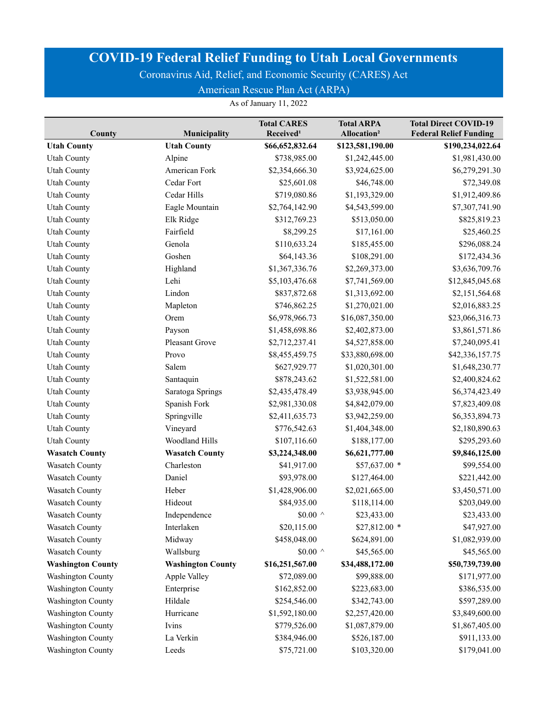Coronavirus Aid, Relief, and Economic Security (CARES) Act

American Rescue Plan Act (ARPA)

| County                   | <b>Municipality</b>      | <b>Total CARES</b><br>Received <sup>1</sup> | <b>Total ARPA</b><br>Allocation <sup>2</sup> | <b>Total Direct COVID-19</b><br><b>Federal Relief Funding</b> |
|--------------------------|--------------------------|---------------------------------------------|----------------------------------------------|---------------------------------------------------------------|
| <b>Utah County</b>       | <b>Utah County</b>       | \$66,652,832.64                             | \$123,581,190.00                             | \$190,234,022.64                                              |
| <b>Utah County</b>       | Alpine                   | \$738,985.00                                | \$1,242,445.00                               | \$1,981,430.00                                                |
| <b>Utah County</b>       | American Fork            | \$2,354,666.30                              | \$3,924,625.00                               | \$6,279,291.30                                                |
| <b>Utah County</b>       | Cedar Fort               | \$25,601.08                                 | \$46,748.00                                  | \$72,349.08                                                   |
| <b>Utah County</b>       | Cedar Hills              | \$719,080.86                                | \$1,193,329.00                               | \$1,912,409.86                                                |
| <b>Utah County</b>       | Eagle Mountain           | \$2,764,142.90                              | \$4,543,599.00                               | \$7,307,741.90                                                |
| <b>Utah County</b>       | Elk Ridge                | \$312,769.23                                | \$513,050.00                                 | \$825,819.23                                                  |
| <b>Utah County</b>       | Fairfield                | \$8,299.25                                  | \$17,161.00                                  | \$25,460.25                                                   |
| <b>Utah County</b>       | Genola                   | \$110,633.24                                | \$185,455.00                                 | \$296,088.24                                                  |
| <b>Utah County</b>       | Goshen                   | \$64,143.36                                 | \$108,291.00                                 | \$172,434.36                                                  |
| <b>Utah County</b>       | Highland                 | \$1,367,336.76                              | \$2,269,373.00                               | \$3,636,709.76                                                |
| <b>Utah County</b>       | Lehi                     | \$5,103,476.68                              | \$7,741,569.00                               | \$12,845,045.68                                               |
| <b>Utah County</b>       | Lindon                   | \$837,872.68                                | \$1,313,692.00                               | \$2,151,564.68                                                |
| <b>Utah County</b>       | Mapleton                 | \$746,862.25                                | \$1,270,021.00                               | \$2,016,883.25                                                |
| <b>Utah County</b>       | Orem                     | \$6,978,966.73                              | \$16,087,350.00                              | \$23,066,316.73                                               |
| <b>Utah County</b>       | Payson                   | \$1,458,698.86                              | \$2,402,873.00                               | \$3,861,571.86                                                |
| <b>Utah County</b>       | Pleasant Grove           | \$2,712,237.41                              | \$4,527,858.00                               | \$7,240,095.41                                                |
| <b>Utah County</b>       | Provo                    | \$8,455,459.75                              | \$33,880,698.00                              | \$42,336,157.75                                               |
| <b>Utah County</b>       | Salem                    | \$627,929.77                                | \$1,020,301.00                               | \$1,648,230.77                                                |
| <b>Utah County</b>       | Santaquin                | \$878,243.62                                | \$1,522,581.00                               | \$2,400,824.62                                                |
| <b>Utah County</b>       | Saratoga Springs         | \$2,435,478.49                              | \$3,938,945.00                               | \$6,374,423.49                                                |
| <b>Utah County</b>       | Spanish Fork             | \$2,981,330.08                              | \$4,842,079.00                               | \$7,823,409.08                                                |
| <b>Utah County</b>       | Springville              | \$2,411,635.73                              | \$3,942,259.00                               | \$6,353,894.73                                                |
| <b>Utah County</b>       | Vineyard                 | \$776,542.63                                | \$1,404,348.00                               | \$2,180,890.63                                                |
| <b>Utah County</b>       | Woodland Hills           | \$107,116.60                                | \$188,177.00                                 | \$295,293.60                                                  |
| <b>Wasatch County</b>    | <b>Wasatch County</b>    | \$3,224,348.00                              | \$6,621,777.00                               | \$9,846,125.00                                                |
| <b>Wasatch County</b>    | Charleston               | \$41,917.00                                 | \$57,637.00 *                                | \$99,554.00                                                   |
| Wasatch County           | Daniel                   | \$93,978.00                                 | \$127,464.00                                 | \$221,442.00                                                  |
| Wasatch County           | Heber                    | \$1,428,906.00                              | \$2,021,665.00                               | \$3,450,571.00                                                |
| Wasatch County           | Hideout                  | \$84,935.00                                 | \$118,114.00                                 | \$203,049.00                                                  |
| <b>Wasatch County</b>    | Independence             | \$0.00 $\land$                              | \$23,433.00                                  | \$23,433.00                                                   |
| <b>Wasatch County</b>    | Interlaken               | \$20,115.00                                 | \$27,812.00 *                                | \$47,927.00                                                   |
| Wasatch County           | Midway                   | \$458,048.00                                | \$624,891.00                                 | \$1,082,939.00                                                |
| Wasatch County           | Wallsburg                | \$0.00 $\land$                              | \$45,565.00                                  | \$45,565.00                                                   |
| <b>Washington County</b> | <b>Washington County</b> | \$16,251,567.00                             | \$34,488,172.00                              | \$50,739,739.00                                               |
| <b>Washington County</b> | Apple Valley             | \$72,089.00                                 | \$99,888.00                                  | \$171,977.00                                                  |
| <b>Washington County</b> | Enterprise               | \$162,852.00                                | \$223,683.00                                 | \$386,535.00                                                  |
| <b>Washington County</b> | Hildale                  | \$254,546.00                                | \$342,743.00                                 | \$597,289.00                                                  |
| <b>Washington County</b> | Hurricane                | \$1,592,180.00                              | \$2,257,420.00                               | \$3,849,600.00                                                |
| <b>Washington County</b> | Ivins                    | \$779,526.00                                | \$1,087,879.00                               | \$1,867,405.00                                                |
| <b>Washington County</b> | La Verkin                | \$384,946.00                                | \$526,187.00                                 | \$911,133.00                                                  |
| <b>Washington County</b> | Leeds                    | \$75,721.00                                 | \$103,320.00                                 | \$179,041.00                                                  |